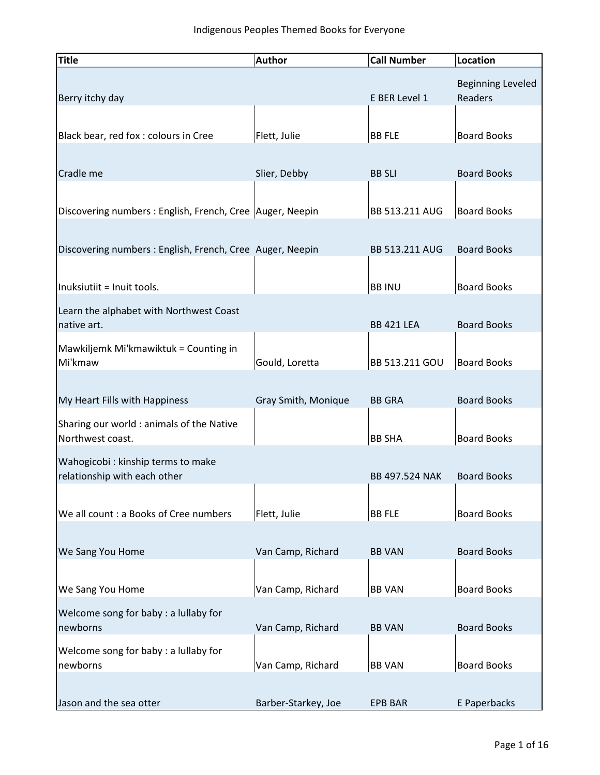| Title                                                                                  | <b>Author</b>       | <b>Call Number</b>              | Location                                   |
|----------------------------------------------------------------------------------------|---------------------|---------------------------------|--------------------------------------------|
| Berry itchy day                                                                        |                     | E BER Level 1                   | <b>Beginning Leveled</b><br><b>Readers</b> |
| Black bear, red fox : colours in Cree                                                  | Flett, Julie        | <b>BB FLE</b>                   | <b>Board Books</b>                         |
| Cradle me                                                                              | Slier, Debby        | <b>BB SLI</b>                   | <b>Board Books</b>                         |
| Discovering numbers: English, French, Cree   Auger, Neepin                             |                     | BB 513.211 AUG                  | <b>Board Books</b>                         |
| Discovering numbers: English, French, Cree Auger, Neepin<br>Inuksiutiit = Inuit tools. |                     | BB 513.211 AUG<br><b>BB INU</b> | <b>Board Books</b><br><b>Board Books</b>   |
| Learn the alphabet with Northwest Coast                                                |                     |                                 |                                            |
| native art.                                                                            |                     | <b>BB 421 LEA</b>               | <b>Board Books</b>                         |
| Mawkiljemk Mi'kmawiktuk = Counting in<br>Mi'kmaw                                       | Gould, Loretta      | BB 513.211 GOU                  | <b>Board Books</b>                         |
| My Heart Fills with Happiness<br>Sharing our world : animals of the Native             | Gray Smith, Monique | <b>BB GRA</b>                   | <b>Board Books</b>                         |
| Northwest coast.                                                                       |                     | <b>BB SHA</b>                   | <b>Board Books</b>                         |
| Wahogicobi : kinship terms to make<br>relationship with each other                     |                     | <b>BB 497.524 NAK</b>           | <b>Board Books</b>                         |
| We all count : a Books of Cree numbers                                                 | Flett, Julie        | <b>BB FLE</b>                   | <b>Board Books</b>                         |
| We Sang You Home                                                                       | Van Camp, Richard   | <b>BB VAN</b>                   | <b>Board Books</b>                         |
| We Sang You Home                                                                       | Van Camp, Richard   | <b>BB VAN</b>                   | <b>Board Books</b>                         |
| Welcome song for baby: a lullaby for<br>newborns                                       | Van Camp, Richard   | <b>BB VAN</b>                   | <b>Board Books</b>                         |
| Welcome song for baby : a lullaby for<br>newborns                                      | Van Camp, Richard   | <b>BB VAN</b>                   | <b>Board Books</b>                         |
| Jason and the sea otter                                                                | Barber-Starkey, Joe | <b>EPB BAR</b>                  | E Paperbacks                               |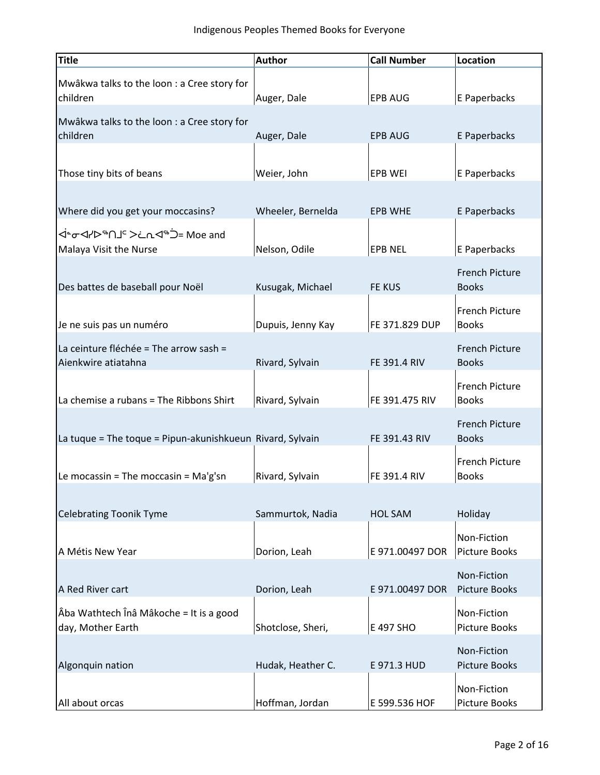| <b>Title</b>                                                  | <b>Author</b>     | <b>Call Number</b> | Location                              |
|---------------------------------------------------------------|-------------------|--------------------|---------------------------------------|
| Mwâkwa talks to the loon : a Cree story for<br>children       | Auger, Dale       | <b>EPB AUG</b>     | E Paperbacks                          |
| Mwâkwa talks to the loon : a Cree story for<br>children       | Auger, Dale       | <b>EPB AUG</b>     | E Paperbacks                          |
| Those tiny bits of beans                                      | Weier, John       | <b>EPB WEI</b>     | E Paperbacks                          |
| Where did you get your moccasins?                             | Wheeler, Bernelda | <b>EPB WHE</b>     | E Paperbacks                          |
| ל∸סי לי שיר אבר לי בחיים בי הי<br>Malaya Visit the Nurse      | Nelson, Odile     | <b>EPB NEL</b>     | E Paperbacks                          |
| Des battes de baseball pour Noël                              | Kusugak, Michael  | <b>FE KUS</b>      | <b>French Picture</b><br><b>Books</b> |
| Je ne suis pas un numéro                                      | Dupuis, Jenny Kay | FE 371.829 DUP     | <b>French Picture</b><br><b>Books</b> |
| La ceinture fléchée = The arrow sash =<br>Aienkwire atiatahna | Rivard, Sylvain   | FE 391.4 RIV       | <b>French Picture</b><br><b>Books</b> |
| La chemise a rubans = The Ribbons Shirt                       | Rivard, Sylvain   | FE 391.475 RIV     | <b>French Picture</b><br><b>Books</b> |
| La tuque = The toque = Pipun-akunishkueun Rivard, Sylvain     |                   | FE 391.43 RIV      | <b>French Picture</b><br><b>Books</b> |
| Le mocassin = The moccasin = $Ma'g'sn$                        | Rivard, Sylvain   | FE 391.4 RIV       | <b>French Picture</b><br><b>Books</b> |
| <b>Celebrating Toonik Tyme</b>                                | Sammurtok, Nadia  | <b>HOL SAM</b>     | Holiday                               |
| A Métis New Year                                              | Dorion, Leah      | E 971.00497 DOR    | Non-Fiction<br><b>Picture Books</b>   |
| A Red River cart                                              | Dorion, Leah      | E 971.00497 DOR    | Non-Fiction<br><b>Picture Books</b>   |
| Âba Wathtech Înâ Mâkoche = It is a good<br>day, Mother Earth  | Shotclose, Sheri, | E 497 SHO          | Non-Fiction<br><b>Picture Books</b>   |
| Algonquin nation                                              | Hudak, Heather C. | E 971.3 HUD        | Non-Fiction<br><b>Picture Books</b>   |
| All about orcas                                               | Hoffman, Jordan   | E 599.536 HOF      | Non-Fiction<br><b>Picture Books</b>   |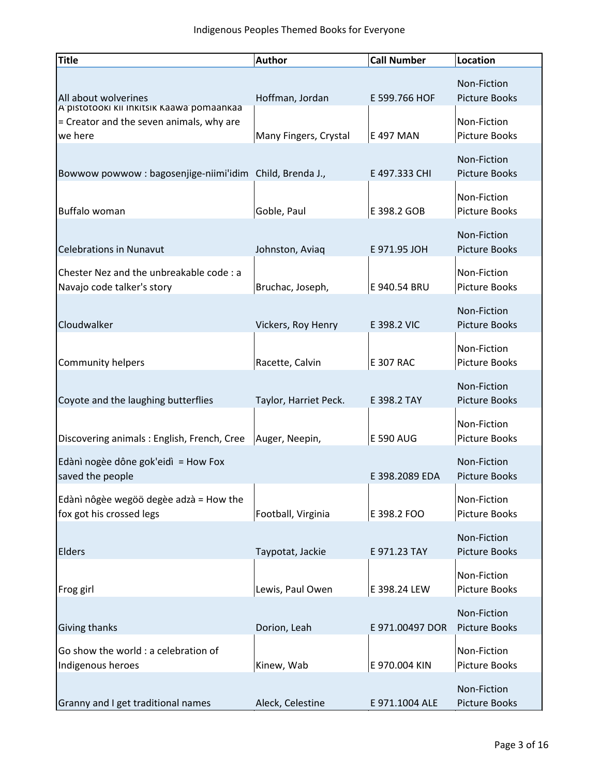| <b>Title</b>                                                                                     | <b>Author</b>         | <b>Call Number</b> | Location                            |
|--------------------------------------------------------------------------------------------------|-----------------------|--------------------|-------------------------------------|
| All about wolverines                                                                             | Hoffman, Jordan       | E 599.766 HOF      | Non-Fiction<br><b>Picture Books</b> |
| A pistotooki kii inkitsik Kaawa pomaankaa<br>= Creator and the seven animals, why are<br>we here | Many Fingers, Crystal | E 497 MAN          | Non-Fiction<br><b>Picture Books</b> |
| Bowwow powwow : bagosenjige-niimi'idim Child, Brenda J.,                                         |                       | E 497.333 CHI      | Non-Fiction<br><b>Picture Books</b> |
| Buffalo woman                                                                                    | Goble, Paul           | E 398.2 GOB        | Non-Fiction<br>Picture Books        |
| <b>Celebrations in Nunavut</b>                                                                   | Johnston, Aviaq       | E 971.95 JOH       | Non-Fiction<br><b>Picture Books</b> |
| Chester Nez and the unbreakable code : a<br>Navajo code talker's story                           | Bruchac, Joseph,      | E 940.54 BRU       | Non-Fiction<br>Picture Books        |
| Cloudwalker                                                                                      | Vickers, Roy Henry    | E 398.2 VIC        | Non-Fiction<br><b>Picture Books</b> |
| <b>Community helpers</b>                                                                         | Racette, Calvin       | <b>E 307 RAC</b>   | Non-Fiction<br>Picture Books        |
| Coyote and the laughing butterflies                                                              | Taylor, Harriet Peck. | E 398.2 TAY        | Non-Fiction<br><b>Picture Books</b> |
| Discovering animals : English, French, Cree                                                      | Auger, Neepin,        | <b>E 590 AUG</b>   | Non-Fiction<br>Picture Books        |
| Edànì nogèe dône gok'eidì = How Fox<br>saved the people                                          |                       | E 398.2089 EDA     | Non-Fiction<br><b>Picture Books</b> |
| Edànì nôgèe wegöö degèe adzà = How the<br>fox got his crossed legs                               | Football, Virginia    | E 398.2 FOO        | Non-Fiction<br><b>Picture Books</b> |
| Elders                                                                                           | Taypotat, Jackie      | E 971.23 TAY       | Non-Fiction<br><b>Picture Books</b> |
| Frog girl                                                                                        | Lewis, Paul Owen      | E 398.24 LEW       | Non-Fiction<br>Picture Books        |
| Giving thanks                                                                                    | Dorion, Leah          | E 971.00497 DOR    | Non-Fiction<br><b>Picture Books</b> |
| Go show the world : a celebration of<br>Indigenous heroes                                        | Kinew, Wab            | E 970.004 KIN      | Non-Fiction<br><b>Picture Books</b> |
| Granny and I get traditional names                                                               | Aleck, Celestine      | E 971.1004 ALE     | Non-Fiction<br>Picture Books        |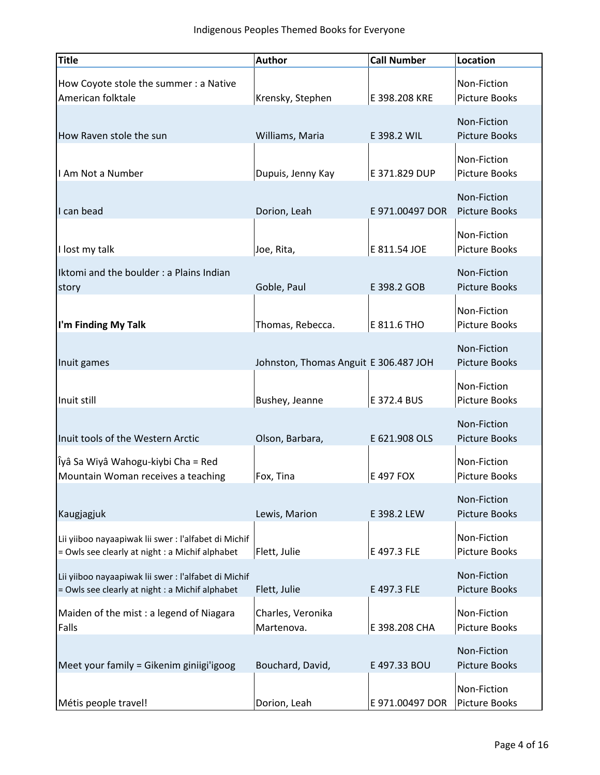| <b>Title</b>                                                                                           | <b>Author</b>                         | <b>Call Number</b> | Location                            |
|--------------------------------------------------------------------------------------------------------|---------------------------------------|--------------------|-------------------------------------|
| How Coyote stole the summer : a Native<br>American folktale                                            | Krensky, Stephen                      | E 398.208 KRE      | Non-Fiction<br><b>Picture Books</b> |
| How Raven stole the sun                                                                                | Williams, Maria                       | E 398.2 WIL        | Non-Fiction<br><b>Picture Books</b> |
| I Am Not a Number                                                                                      | Dupuis, Jenny Kay                     | E 371.829 DUP      | Non-Fiction<br><b>Picture Books</b> |
| I can bead                                                                                             | Dorion, Leah                          | E 971.00497 DOR    | Non-Fiction<br><b>Picture Books</b> |
| I lost my talk                                                                                         | Joe, Rita,                            | E 811.54 JOE       | Non-Fiction<br>Picture Books        |
| Iktomi and the boulder : a Plains Indian<br>story                                                      | Goble, Paul                           | E 398.2 GOB        | Non-Fiction<br><b>Picture Books</b> |
| I'm Finding My Talk                                                                                    | Thomas, Rebecca.                      | E 811.6 THO        | Non-Fiction<br><b>Picture Books</b> |
| Inuit games                                                                                            | Johnston, Thomas Anguit E 306.487 JOH |                    | Non-Fiction<br><b>Picture Books</b> |
| Inuit still                                                                                            | Bushey, Jeanne                        | E 372.4 BUS        | Non-Fiction<br>Picture Books        |
| Inuit tools of the Western Arctic                                                                      | Olson, Barbara,                       | E 621.908 OLS      | Non-Fiction<br><b>Picture Books</b> |
| Îyâ Sa Wiyâ Wahogu-kiybi Cha = Red<br>Mountain Woman receives a teaching                               | Fox, Tina                             | E 497 FOX          | Non-Fiction<br><b>Picture Books</b> |
| Kaugjagjuk                                                                                             | Lewis, Marion                         | E 398.2 LEW        | Non-Fiction<br><b>Picture Books</b> |
| Lii yiiboo nayaapiwak lii swer: l'alfabet di Michif<br>= Owls see clearly at night : a Michif alphabet | Flett, Julie                          | E 497.3 FLE        | Non-Fiction<br><b>Picture Books</b> |
| Lii yiiboo nayaapiwak lii swer: l'alfabet di Michif<br>= Owls see clearly at night : a Michif alphabet | Flett, Julie                          | E 497.3 FLE        | Non-Fiction<br><b>Picture Books</b> |
| Maiden of the mist : a legend of Niagara<br>Falls                                                      | Charles, Veronika<br>Martenova.       | E 398.208 CHA      | Non-Fiction<br><b>Picture Books</b> |
| Meet your family = Gikenim giniigi'igoog                                                               | Bouchard, David,                      | E 497.33 BOU       | Non-Fiction<br><b>Picture Books</b> |
| Métis people travel!                                                                                   | Dorion, Leah                          | E 971.00497 DOR    | Non-Fiction<br>Picture Books        |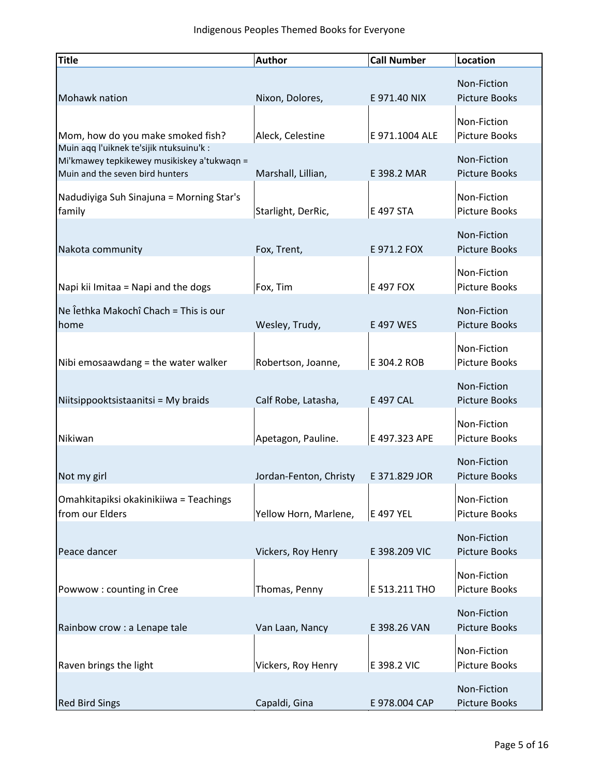| <b>Title</b>                                                                                                               | <b>Author</b>          | <b>Call Number</b> | <b>Location</b>                     |
|----------------------------------------------------------------------------------------------------------------------------|------------------------|--------------------|-------------------------------------|
| Mohawk nation                                                                                                              | Nixon, Dolores,        | E 971.40 NIX       | Non-Fiction<br><b>Picture Books</b> |
| Mom, how do you make smoked fish?                                                                                          | Aleck, Celestine       | E 971.1004 ALE     | Non-Fiction<br><b>Picture Books</b> |
| Muin aqq l'uiknek te'sijik ntuksuinu'k :<br>Mi'kmawey tepkikewey musikiskey a'tukwaqn =<br>Muin and the seven bird hunters | Marshall, Lillian,     | E 398.2 MAR        | Non-Fiction<br><b>Picture Books</b> |
| Nadudiyiga Suh Sinajuna = Morning Star's<br>family                                                                         | Starlight, DerRic,     | E 497 STA          | Non-Fiction<br>Picture Books        |
| Nakota community                                                                                                           | Fox, Trent,            | E 971.2 FOX        | Non-Fiction<br><b>Picture Books</b> |
| Napi kii Imitaa = Napi and the dogs                                                                                        | Fox, Tim               | E 497 FOX          | Non-Fiction<br><b>Picture Books</b> |
| Ne Îethka Makochî Chach = This is our<br>home                                                                              | Wesley, Trudy,         | E 497 WES          | Non-Fiction<br><b>Picture Books</b> |
| Nibi emosaawdang = the water walker                                                                                        | Robertson, Joanne,     | E 304.2 ROB        | Non-Fiction<br>Picture Books        |
| Niitsippooktsistaanitsi = My braids                                                                                        | Calf Robe, Latasha,    | E 497 CAL          | Non-Fiction<br><b>Picture Books</b> |
| Nikiwan                                                                                                                    | Apetagon, Pauline.     | E 497.323 APE      | Non-Fiction<br><b>Picture Books</b> |
| Not my girl                                                                                                                | Jordan-Fenton, Christy | E 371.829 JOR      | Non-Fiction<br><b>Picture Books</b> |
| Omahkitapiksi okakinikiiwa = Teachings<br>from our Elders                                                                  | Yellow Horn, Marlene,  | E 497 YEL          | Non-Fiction<br><b>Picture Books</b> |
| Peace dancer                                                                                                               | Vickers, Roy Henry     | E 398.209 VIC      | Non-Fiction<br><b>Picture Books</b> |
| Powwow: counting in Cree                                                                                                   | Thomas, Penny          | E 513.211 THO      | Non-Fiction<br><b>Picture Books</b> |
| Rainbow crow : a Lenape tale                                                                                               | Van Laan, Nancy        | E 398.26 VAN       | Non-Fiction<br><b>Picture Books</b> |
| Raven brings the light                                                                                                     | Vickers, Roy Henry     | E 398.2 VIC        | Non-Fiction<br><b>Picture Books</b> |
| <b>Red Bird Sings</b>                                                                                                      | Capaldi, Gina          | E 978.004 CAP      | Non-Fiction<br><b>Picture Books</b> |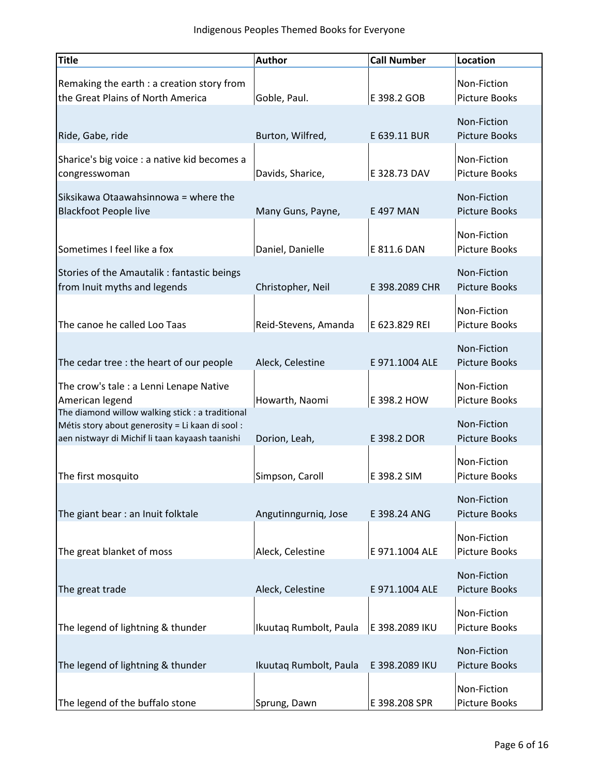| <b>Title</b>                                                                                                                                            | <b>Author</b>          | <b>Call Number</b> | <b>Location</b>                     |
|---------------------------------------------------------------------------------------------------------------------------------------------------------|------------------------|--------------------|-------------------------------------|
| Remaking the earth : a creation story from<br>the Great Plains of North America                                                                         | Goble, Paul.           | E 398.2 GOB        | Non-Fiction<br><b>Picture Books</b> |
| Ride, Gabe, ride                                                                                                                                        | Burton, Wilfred,       | E 639.11 BUR       | Non-Fiction<br><b>Picture Books</b> |
| Sharice's big voice : a native kid becomes a<br>congresswoman                                                                                           | Davids, Sharice,       | E 328.73 DAV       | Non-Fiction<br><b>Picture Books</b> |
| Siksikawa Otaawahsinnowa = where the<br><b>Blackfoot People live</b>                                                                                    | Many Guns, Payne,      | E 497 MAN          | Non-Fiction<br><b>Picture Books</b> |
| Sometimes I feel like a fox                                                                                                                             | Daniel, Danielle       | E 811.6 DAN        | Non-Fiction<br><b>Picture Books</b> |
| Stories of the Amautalik: fantastic beings<br>from Inuit myths and legends                                                                              | Christopher, Neil      | E 398.2089 CHR     | Non-Fiction<br><b>Picture Books</b> |
| The canoe he called Loo Taas                                                                                                                            | Reid-Stevens, Amanda   | E 623.829 REI      | Non-Fiction<br>Picture Books        |
| The cedar tree : the heart of our people                                                                                                                | Aleck, Celestine       | E 971.1004 ALE     | Non-Fiction<br><b>Picture Books</b> |
| The crow's tale : a Lenni Lenape Native<br>American legend                                                                                              | Howarth, Naomi         | E 398.2 HOW        | Non-Fiction<br>Picture Books        |
| The diamond willow walking stick : a traditional<br>Métis story about generosity = Li kaan di sool :<br>aen nistwayr di Michif li taan kayaash taanishi | Dorion, Leah,          | E 398.2 DOR        | Non-Fiction<br><b>Picture Books</b> |
| The first mosquito                                                                                                                                      | Simpson, Caroll        | E 398.2 SIM        | Non-Fiction<br><b>Picture Books</b> |
| The giant bear : an Inuit folktale                                                                                                                      | Angutinngurniq, Jose   | E 398.24 ANG       | Non-Fiction<br><b>Picture Books</b> |
| The great blanket of moss                                                                                                                               | Aleck, Celestine       | E 971.1004 ALE     | Non-Fiction<br>Picture Books        |
| The great trade                                                                                                                                         | Aleck, Celestine       | E 971.1004 ALE     | Non-Fiction<br><b>Picture Books</b> |
| The legend of lightning & thunder                                                                                                                       | Ikuutaq Rumbolt, Paula | E 398.2089 IKU     | Non-Fiction<br>Picture Books        |
| The legend of lightning & thunder                                                                                                                       | Ikuutaq Rumbolt, Paula | E 398.2089 IKU     | Non-Fiction<br><b>Picture Books</b> |
| The legend of the buffalo stone                                                                                                                         | Sprung, Dawn           | E 398.208 SPR      | Non-Fiction<br>Picture Books        |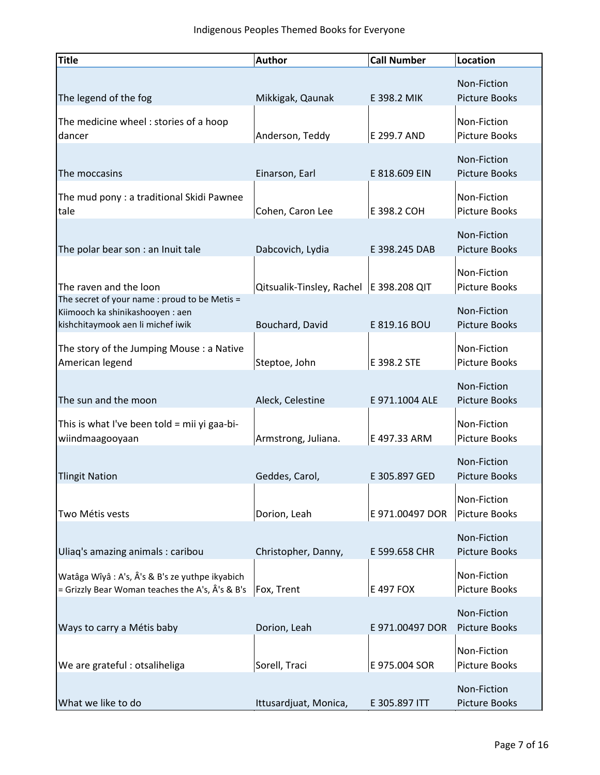| <b>Title</b>                                                                                                           | <b>Author</b>             | <b>Call Number</b> | Location                            |
|------------------------------------------------------------------------------------------------------------------------|---------------------------|--------------------|-------------------------------------|
| The legend of the fog                                                                                                  | Mikkigak, Qaunak          | E 398.2 MIK        | Non-Fiction<br><b>Picture Books</b> |
| The medicine wheel: stories of a hoop<br>dancer                                                                        | Anderson, Teddy           | E 299.7 AND        | Non-Fiction<br><b>Picture Books</b> |
| The moccasins                                                                                                          | Einarson, Earl            | E 818.609 EIN      | Non-Fiction<br><b>Picture Books</b> |
| The mud pony : a traditional Skidi Pawnee<br>tale                                                                      | Cohen, Caron Lee          | E 398.2 COH        | Non-Fiction<br>Picture Books        |
| The polar bear son : an Inuit tale                                                                                     | Dabcovich, Lydia          | E 398.245 DAB      | Non-Fiction<br><b>Picture Books</b> |
| The raven and the loon                                                                                                 | Qitsualik-Tinsley, Rachel | E 398.208 QIT      | Non-Fiction<br><b>Picture Books</b> |
| The secret of your name : proud to be Metis =<br>Kiimooch ka shinikashooyen : aen<br>kishchitaymook aen li michef iwik | Bouchard, David           | E 819.16 BOU       | Non-Fiction<br><b>Picture Books</b> |
| The story of the Jumping Mouse : a Native<br>American legend                                                           | Steptoe, John             | E 398.2 STE        | Non-Fiction<br>Picture Books        |
| The sun and the moon                                                                                                   | Aleck, Celestine          | E 971.1004 ALE     | Non-Fiction<br><b>Picture Books</b> |
| This is what I've been told = mii yi gaa-bi-<br>wiindmaagooyaan                                                        | Armstrong, Juliana.       | E 497.33 ARM       | Non-Fiction<br>Picture Books        |
| <b>Tlingit Nation</b>                                                                                                  | Geddes, Carol,            | E 305.897 GED      | Non-Fiction<br><b>Picture Books</b> |
| Two Métis vests                                                                                                        | Dorion, Leah              | E 971.00497 DOR    | Non-Fiction<br><b>Picture Books</b> |
| Uliaq's amazing animals : caribou                                                                                      | Christopher, Danny,       | E 599.658 CHR      | Non-Fiction<br><b>Picture Books</b> |
| Watâga Wîyâ : A's, Â's & B's ze yuthpe ikyabich<br>= Grizzly Bear Woman teaches the A's, Â's & B's                     | Fox, Trent                | E 497 FOX          | Non-Fiction<br><b>Picture Books</b> |
| Ways to carry a Métis baby                                                                                             | Dorion, Leah              | E 971.00497 DOR    | Non-Fiction<br><b>Picture Books</b> |
| We are grateful: otsaliheliga                                                                                          | Sorell, Traci             | E 975.004 SOR      | Non-Fiction<br><b>Picture Books</b> |
| What we like to do                                                                                                     | Ittusardjuat, Monica,     | E 305.897 ITT      | Non-Fiction<br>Picture Books        |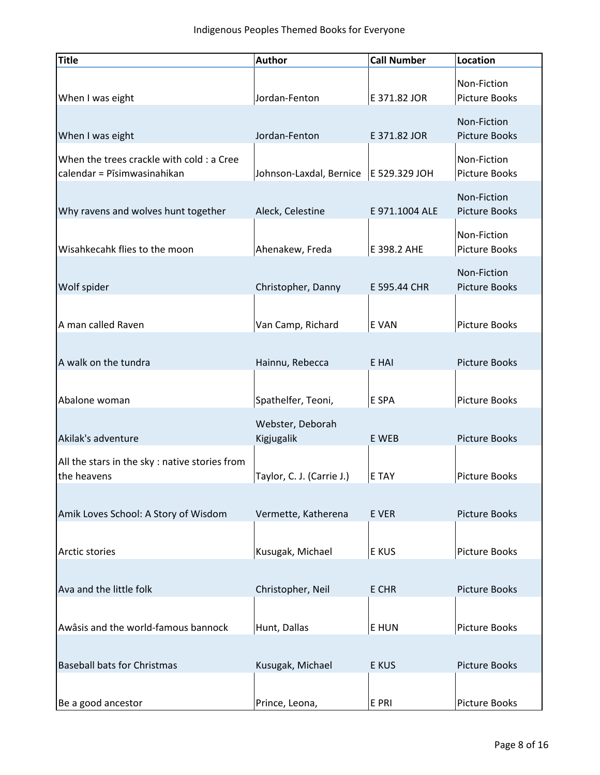| <b>Title</b>                                   | <b>Author</b>                           | <b>Call Number</b> | Location             |
|------------------------------------------------|-----------------------------------------|--------------------|----------------------|
|                                                |                                         |                    | Non-Fiction          |
| When I was eight                               | Jordan-Fenton                           | E 371.82 JOR       | <b>Picture Books</b> |
|                                                |                                         |                    | Non-Fiction          |
| When I was eight                               | Jordan-Fenton                           | E 371.82 JOR       | <b>Picture Books</b> |
| When the trees crackle with cold : a Cree      |                                         |                    | Non-Fiction          |
| calendar = Pīsimwasinahikan                    | Johnson-Laxdal, Bernice   E 529.329 JOH |                    | Picture Books        |
|                                                |                                         |                    | Non-Fiction          |
| Why ravens and wolves hunt together            | Aleck, Celestine                        | E 971.1004 ALE     | <b>Picture Books</b> |
|                                                |                                         |                    | Non-Fiction          |
| Wisahkecahk flies to the moon                  | Ahenakew, Freda                         | E 398.2 AHE        | Picture Books        |
|                                                |                                         |                    | Non-Fiction          |
| Wolf spider                                    | Christopher, Danny                      | E 595.44 CHR       | <b>Picture Books</b> |
|                                                |                                         |                    |                      |
| A man called Raven                             | Van Camp, Richard                       | E VAN              | Picture Books        |
|                                                |                                         |                    |                      |
| A walk on the tundra                           | Hainnu, Rebecca                         | E HAI              | <b>Picture Books</b> |
|                                                |                                         |                    |                      |
| Abalone woman                                  | Spathelfer, Teoni,                      | E SPA              | <b>Picture Books</b> |
|                                                | Webster, Deborah                        |                    |                      |
| Akilak's adventure                             | Kigjugalik                              | E WEB              | <b>Picture Books</b> |
| All the stars in the sky : native stories from |                                         |                    |                      |
| the heavens                                    | Taylor, C. J. (Carrie J.)               | E TAY              | Picture Books        |
|                                                |                                         |                    |                      |
| Amik Loves School: A Story of Wisdom           | Vermette, Katherena                     | E VER              | <b>Picture Books</b> |
|                                                |                                         |                    |                      |
| Arctic stories                                 | Kusugak, Michael                        | E KUS              | Picture Books        |
|                                                |                                         |                    |                      |
| Ava and the little folk                        | Christopher, Neil                       | E CHR              | <b>Picture Books</b> |
|                                                |                                         |                    |                      |
| Awâsis and the world-famous bannock            | Hunt, Dallas                            | E HUN              | <b>Picture Books</b> |
|                                                |                                         |                    |                      |
| <b>Baseball bats for Christmas</b>             | Kusugak, Michael                        | E KUS              | <b>Picture Books</b> |
|                                                |                                         |                    |                      |
| Be a good ancestor                             | Prince, Leona,                          | E PRI              | <b>Picture Books</b> |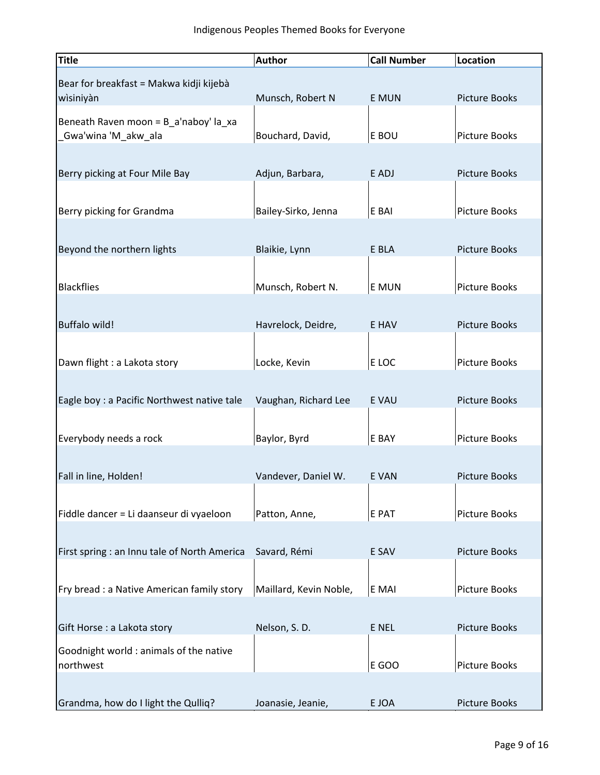| <b>Title</b>                                 | <b>Author</b>          | <b>Call Number</b> | Location             |
|----------------------------------------------|------------------------|--------------------|----------------------|
| Bear for breakfast = Makwa kidji kijebà      |                        |                    |                      |
| wìsiniyàn                                    | Munsch, Robert N       | E MUN              | <b>Picture Books</b> |
| Beneath Raven moon = B_a'naboy' la_xa        |                        |                    |                      |
| Gwa'wina 'M_akw_ala                          | Bouchard, David,       | E BOU              | Picture Books        |
|                                              |                        |                    |                      |
| Berry picking at Four Mile Bay               | Adjun, Barbara,        | E ADJ              | <b>Picture Books</b> |
|                                              |                        |                    |                      |
| Berry picking for Grandma                    | Bailey-Sirko, Jenna    | E BAI              | Picture Books        |
|                                              |                        |                    |                      |
| Beyond the northern lights                   | Blaikie, Lynn          | E BLA              | <b>Picture Books</b> |
|                                              |                        |                    |                      |
| <b>Blackflies</b>                            | Munsch, Robert N.      | E MUN              | Picture Books        |
|                                              |                        |                    |                      |
| <b>Buffalo wild!</b>                         | Havrelock, Deidre,     | E HAV              | <b>Picture Books</b> |
|                                              |                        |                    |                      |
| Dawn flight : a Lakota story                 | Locke, Kevin           | E LOC              | Picture Books        |
|                                              |                        |                    |                      |
| Eagle boy : a Pacific Northwest native tale  | Vaughan, Richard Lee   | E VAU              | <b>Picture Books</b> |
|                                              |                        |                    |                      |
| Everybody needs a rock                       | Baylor, Byrd           | E BAY              | Picture Books        |
|                                              |                        |                    |                      |
| Fall in line, Holden!                        | Vandever, Daniel W.    | E VAN              | <b>Picture Books</b> |
|                                              |                        |                    |                      |
| Fiddle dancer = Li daanseur di vyaeloon      | Patton, Anne,          | E PAT              | <b>Picture Books</b> |
|                                              |                        |                    |                      |
| First spring : an Innu tale of North America | Savard, Rémi           | E SAV              | <b>Picture Books</b> |
|                                              |                        |                    |                      |
| Fry bread : a Native American family story   | Maillard, Kevin Noble, | E MAI              | Picture Books        |
|                                              |                        |                    |                      |
| Gift Horse : a Lakota story                  | Nelson, S.D.           | E NEL              | Picture Books        |
| Goodnight world : animals of the native      |                        |                    |                      |
| northwest                                    |                        | E GOO              | <b>Picture Books</b> |
|                                              |                        |                    |                      |
| Grandma, how do I light the Qulliq?          | Joanasie, Jeanie,      | E JOA              | <b>Picture Books</b> |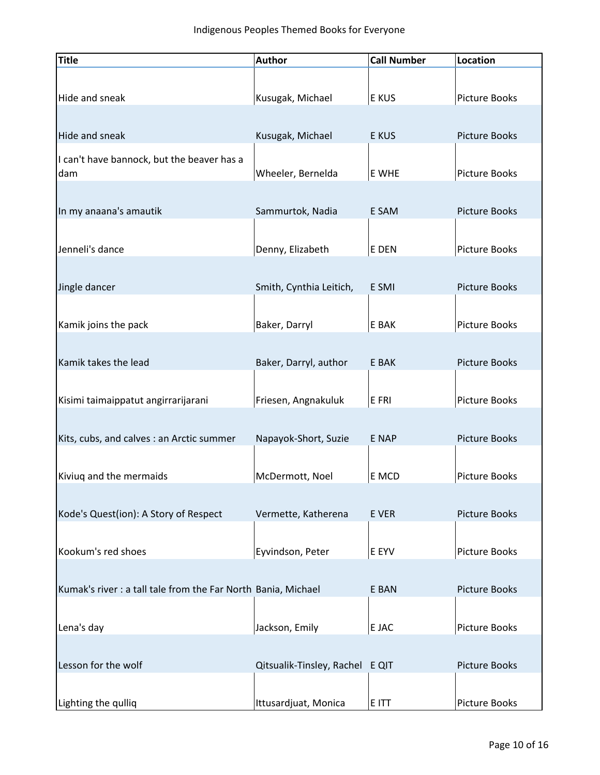| <b>Title</b>                                                  | <b>Author</b>                   | <b>Call Number</b> | Location             |
|---------------------------------------------------------------|---------------------------------|--------------------|----------------------|
|                                                               |                                 |                    |                      |
| Hide and sneak                                                | Kusugak, Michael                | E KUS              | <b>Picture Books</b> |
|                                                               |                                 |                    |                      |
| Hide and sneak                                                | Kusugak, Michael                | E KUS              | <b>Picture Books</b> |
| I can't have bannock, but the beaver has a                    |                                 |                    |                      |
| dam                                                           | Wheeler, Bernelda               | E WHE              | Picture Books        |
|                                                               |                                 |                    |                      |
| In my anaana's amautik                                        | Sammurtok, Nadia                | E SAM              | <b>Picture Books</b> |
|                                                               |                                 |                    |                      |
| Jenneli's dance                                               | Denny, Elizabeth                | E DEN              | <b>Picture Books</b> |
|                                                               |                                 |                    |                      |
| Jingle dancer                                                 | Smith, Cynthia Leitich,         | E SMI              | <b>Picture Books</b> |
|                                                               |                                 |                    |                      |
| Kamik joins the pack                                          | Baker, Darryl                   | E BAK              | Picture Books        |
|                                                               |                                 |                    |                      |
| Kamik takes the lead                                          | Baker, Darryl, author           | E BAK              | <b>Picture Books</b> |
|                                                               |                                 |                    |                      |
| Kisimi taimaippatut angirrarijarani                           | Friesen, Angnakuluk             | E FRI              | Picture Books        |
|                                                               |                                 |                    |                      |
| Kits, cubs, and calves : an Arctic summer                     | Napayok-Short, Suzie            | E NAP              | <b>Picture Books</b> |
|                                                               |                                 |                    |                      |
| Kiviuq and the mermaids                                       | McDermott, Noel                 | E MCD              | Picture Books        |
|                                                               |                                 |                    |                      |
| Kode's Quest(ion): A Story of Respect                         | Vermette, Katherena             | E VER              | <b>Picture Books</b> |
|                                                               |                                 |                    |                      |
| Kookum's red shoes                                            | Eyvindson, Peter                | E EYV              | <b>Picture Books</b> |
|                                                               |                                 |                    |                      |
| Kumak's river : a tall tale from the Far North Bania, Michael |                                 | E BAN              | <b>Picture Books</b> |
|                                                               |                                 |                    |                      |
| Lena's day                                                    | Jackson, Emily                  | E JAC              | Picture Books        |
|                                                               |                                 |                    |                      |
| Lesson for the wolf                                           | Qitsualik-Tinsley, Rachel E QIT |                    | <b>Picture Books</b> |
|                                                               |                                 |                    |                      |
| Lighting the qulliq                                           | Ittusardjuat, Monica            | E ITT              | <b>Picture Books</b> |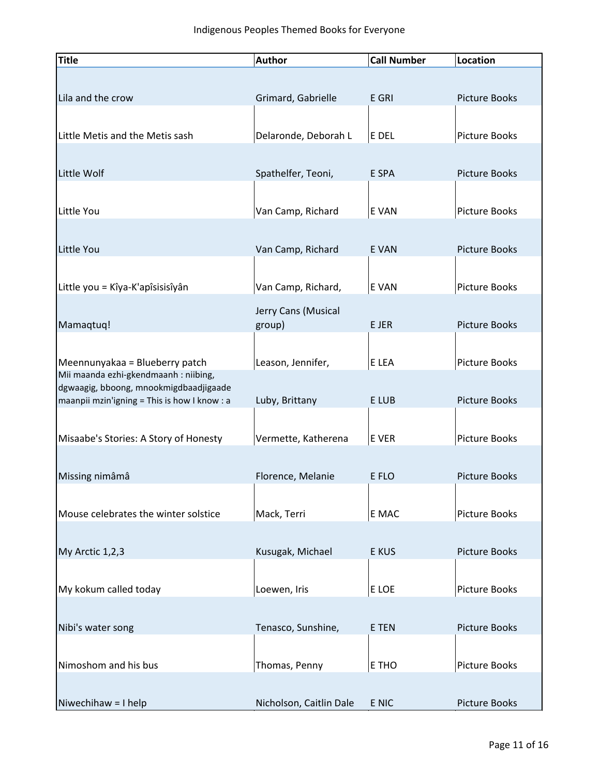| <b>Title</b>                                | <b>Author</b>           | <b>Call Number</b> | <b>Location</b>      |
|---------------------------------------------|-------------------------|--------------------|----------------------|
|                                             |                         |                    |                      |
| Lila and the crow                           | Grimard, Gabrielle      | E GRI              | <b>Picture Books</b> |
|                                             |                         |                    |                      |
| Little Metis and the Metis sash             | Delaronde, Deborah L    | E DEL              | Picture Books        |
|                                             |                         |                    |                      |
|                                             |                         |                    |                      |
| Little Wolf                                 | Spathelfer, Teoni,      | E SPA              | <b>Picture Books</b> |
|                                             |                         |                    |                      |
| Little You                                  | Van Camp, Richard       | E VAN              | Picture Books        |
|                                             |                         |                    |                      |
| Little You                                  | Van Camp, Richard       | E VAN              | <b>Picture Books</b> |
|                                             |                         |                    |                      |
| Little you = Kîya-K'apîsisisîyân            | Van Camp, Richard,      | E VAN              | Picture Books        |
|                                             | Jerry Cans (Musical     |                    |                      |
| Mamaqtuq!                                   | group)                  | E JER              | <b>Picture Books</b> |
|                                             |                         |                    |                      |
| Meennunyakaa = Blueberry patch              | Leason, Jennifer,       | E LEA              | Picture Books        |
| Mii maanda ezhi-gkendmaanh : niibing,       |                         |                    |                      |
| dgwaagig, bboong, mnookmigdbaadjigaade      |                         |                    |                      |
| maanpii mzin'igning = This is how I know: a | Luby, Brittany          | E LUB              | <b>Picture Books</b> |
|                                             |                         |                    |                      |
| Misaabe's Stories: A Story of Honesty       | Vermette, Katherena     | E VER              | Picture Books        |
|                                             |                         |                    |                      |
| Missing nimâmâ                              | Florence, Melanie       | E FLO              | <b>Picture Books</b> |
|                                             |                         |                    |                      |
| Mouse celebrates the winter solstice        | Mack, Terri             | E MAC              | <b>Picture Books</b> |
|                                             |                         |                    |                      |
| My Arctic 1,2,3                             | Kusugak, Michael        | E KUS              | <b>Picture Books</b> |
|                                             |                         |                    |                      |
| My kokum called today                       |                         |                    |                      |
|                                             | Loewen, Iris            | E LOE              | Picture Books        |
|                                             |                         |                    |                      |
| Nibi's water song                           | Tenasco, Sunshine,      | E TEN              | Picture Books        |
|                                             |                         |                    |                      |
| Nimoshom and his bus                        | Thomas, Penny           | E THO              | Picture Books        |
|                                             |                         |                    |                      |
| Niwechihaw = I help                         | Nicholson, Caitlin Dale | E NIC              | <b>Picture Books</b> |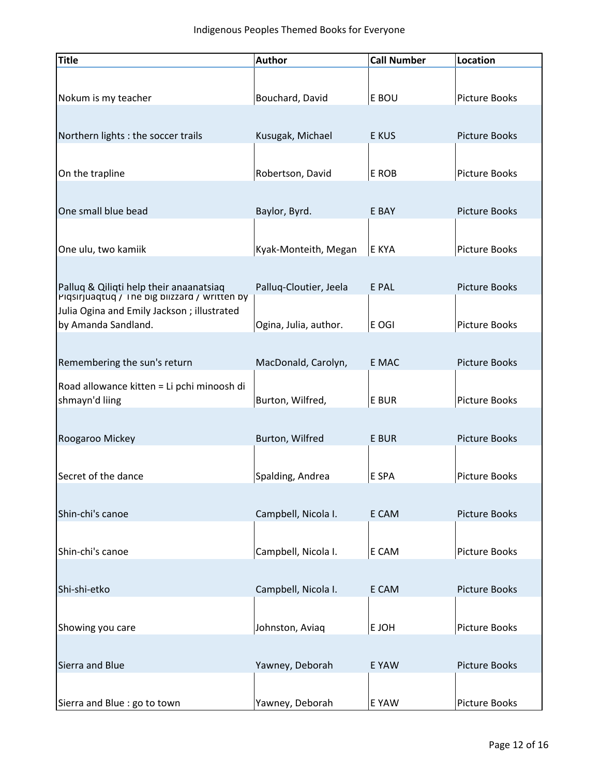| <b>Title</b>                                                      | <b>Author</b>          | <b>Call Number</b> | Location             |
|-------------------------------------------------------------------|------------------------|--------------------|----------------------|
|                                                                   |                        |                    |                      |
| Nokum is my teacher                                               | Bouchard, David        | E BOU              | <b>Picture Books</b> |
|                                                                   |                        |                    |                      |
| Northern lights : the soccer trails                               | Kusugak, Michael       | E KUS              | Picture Books        |
|                                                                   |                        |                    |                      |
| On the trapline                                                   | Robertson, David       | E ROB              | Picture Books        |
|                                                                   |                        |                    |                      |
| One small blue bead                                               | Baylor, Byrd.          | E BAY              | <b>Picture Books</b> |
|                                                                   |                        |                    |                      |
| One ulu, two kamiik                                               | Kyak-Monteith, Megan   | E KYA              | <b>Picture Books</b> |
|                                                                   |                        |                    |                      |
| Palluq & Qiliqti help their anaanatsiaq                           | Palluq-Cloutier, Jeela | E PAL              | <b>Picture Books</b> |
| Piqsirjuaqtuq / The big bilzzard / written by                     |                        |                    |                      |
| Julia Ogina and Emily Jackson; illustrated<br>by Amanda Sandland. |                        |                    |                      |
|                                                                   | Ogina, Julia, author.  | E OGI              | Picture Books        |
|                                                                   |                        |                    |                      |
| Remembering the sun's return                                      | MacDonald, Carolyn,    | E MAC              | <b>Picture Books</b> |
| Road allowance kitten = Li pchi minoosh di                        |                        |                    |                      |
| shmayn'd liing                                                    | Burton, Wilfred,       | E BUR              | Picture Books        |
|                                                                   |                        |                    |                      |
| Roogaroo Mickey                                                   | Burton, Wilfred        | E BUR              | <b>Picture Books</b> |
|                                                                   |                        |                    |                      |
| Secret of the dance                                               | Spalding, Andrea       | E SPA              | Picture Books        |
|                                                                   |                        |                    |                      |
| Shin-chi's canoe                                                  | Campbell, Nicola I.    | E CAM              | <b>Picture Books</b> |
|                                                                   |                        |                    |                      |
| Shin-chi's canoe                                                  | Campbell, Nicola I.    | E CAM              | <b>Picture Books</b> |
|                                                                   |                        |                    |                      |
| Shi-shi-etko                                                      | Campbell, Nicola I.    | E CAM              | <b>Picture Books</b> |
|                                                                   |                        |                    |                      |
| Showing you care                                                  | Johnston, Aviaq        | E JOH              | Picture Books        |
|                                                                   |                        |                    |                      |
| Sierra and Blue                                                   | Yawney, Deborah        | E YAW              | <b>Picture Books</b> |
|                                                                   |                        |                    |                      |
| Sierra and Blue : go to town                                      | Yawney, Deborah        | E YAW              | Picture Books        |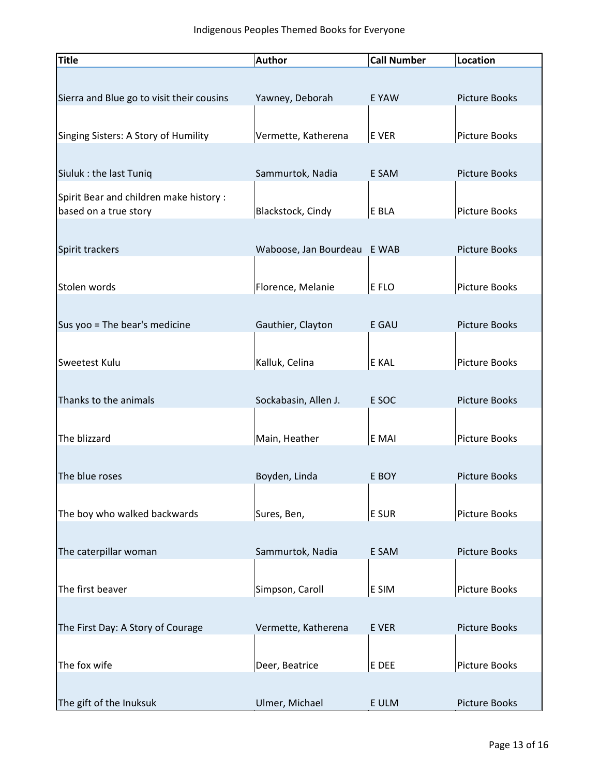| <b>Title</b>                              | <b>Author</b>         | <b>Call Number</b> | Location             |
|-------------------------------------------|-----------------------|--------------------|----------------------|
|                                           |                       |                    |                      |
| Sierra and Blue go to visit their cousins | Yawney, Deborah       | E YAW              | <b>Picture Books</b> |
|                                           |                       |                    |                      |
| Singing Sisters: A Story of Humility      | Vermette, Katherena   | E VER              | Picture Books        |
|                                           |                       |                    |                      |
| Siuluk : the last Tuniq                   | Sammurtok, Nadia      | E SAM              | <b>Picture Books</b> |
| Spirit Bear and children make history :   |                       |                    |                      |
| based on a true story                     | Blackstock, Cindy     | E BLA              | Picture Books        |
|                                           |                       |                    |                      |
| Spirit trackers                           | Waboose, Jan Bourdeau | E WAB              | <b>Picture Books</b> |
|                                           |                       |                    |                      |
| Stolen words                              | Florence, Melanie     | E FLO              | Picture Books        |
|                                           |                       |                    |                      |
| Sus yoo = The bear's medicine             | Gauthier, Clayton     | E GAU              | <b>Picture Books</b> |
|                                           |                       |                    |                      |
| Sweetest Kulu                             | Kalluk, Celina        | E KAL              | Picture Books        |
|                                           |                       |                    |                      |
| Thanks to the animals                     | Sockabasin, Allen J.  | E SOC              | Picture Books        |
| The blizzard                              | Main, Heather         | E MAI              | <b>Picture Books</b> |
|                                           |                       |                    |                      |
| The blue roses                            | Boyden, Linda         | E BOY              | <b>Picture Books</b> |
|                                           |                       |                    |                      |
| The boy who walked backwards              | Sures, Ben,           | E SUR              | Picture Books        |
|                                           |                       |                    |                      |
| The caterpillar woman                     | Sammurtok, Nadia      | E SAM              | <b>Picture Books</b> |
|                                           |                       |                    |                      |
| The first beaver                          | Simpson, Caroll       | E SIM              | Picture Books        |
|                                           |                       |                    |                      |
| The First Day: A Story of Courage         | Vermette, Katherena   | E VER              | Picture Books        |
|                                           |                       |                    |                      |
| The fox wife                              | Deer, Beatrice        | E DEE              | Picture Books        |
|                                           |                       |                    |                      |
| The gift of the Inuksuk                   | Ulmer, Michael        | E ULM              | Picture Books        |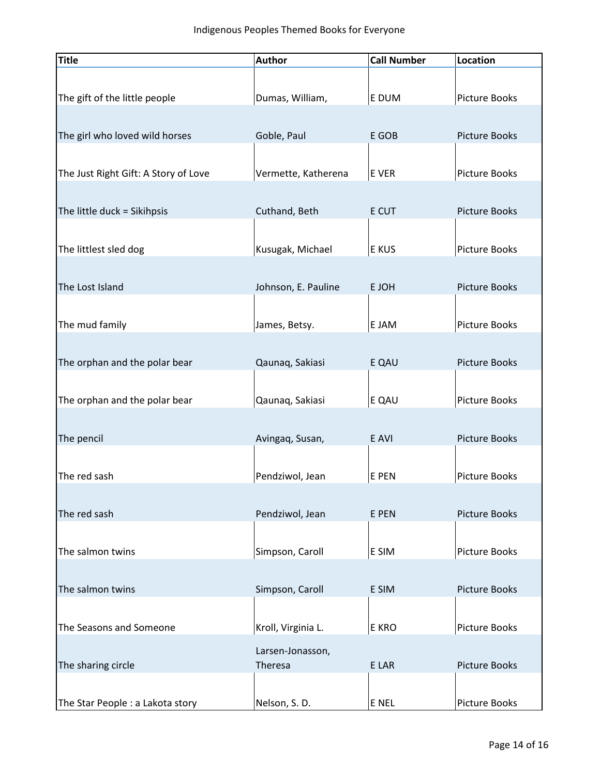| <b>Title</b>                         | <b>Author</b>       | <b>Call Number</b> | Location             |
|--------------------------------------|---------------------|--------------------|----------------------|
| The gift of the little people        | Dumas, William,     | E DUM              | Picture Books        |
| The girl who loved wild horses       | Goble, Paul         | E GOB              | Picture Books        |
| The Just Right Gift: A Story of Love | Vermette, Katherena | E VER              | Picture Books        |
| The little duck = Sikihpsis          | Cuthand, Beth       | E CUT              | <b>Picture Books</b> |
| The littlest sled dog                | Kusugak, Michael    | E KUS              | Picture Books        |
| The Lost Island                      | Johnson, E. Pauline | E JOH              | <b>Picture Books</b> |
| The mud family                       | James, Betsy.       | E JAM              | Picture Books        |
| The orphan and the polar bear        | Qaunaq, Sakiasi     | E QAU              | <b>Picture Books</b> |
| The orphan and the polar bear        | Qaunaq, Sakiasi     | E QAU              | Picture Books        |
| The pencil                           | Avingaq, Susan,     | E AVI              | <b>Picture Books</b> |
| The red sash                         | Pendziwol, Jean     | E PEN              | Picture Books        |
| The red sash                         | Pendziwol, Jean     | E PEN              | <b>Picture Books</b> |
| The salmon twins                     | Simpson, Caroll     | E SIM              | Picture Books        |
| The salmon twins                     | Simpson, Caroll     | E SIM              | Picture Books        |
| The Seasons and Someone              | Kroll, Virginia L.  | E KRO              | Picture Books        |
|                                      | Larsen-Jonasson,    |                    |                      |
| The sharing circle                   | Theresa             | E LAR              | <b>Picture Books</b> |
| The Star People : a Lakota story     | Nelson, S.D.        | E NEL              | <b>Picture Books</b> |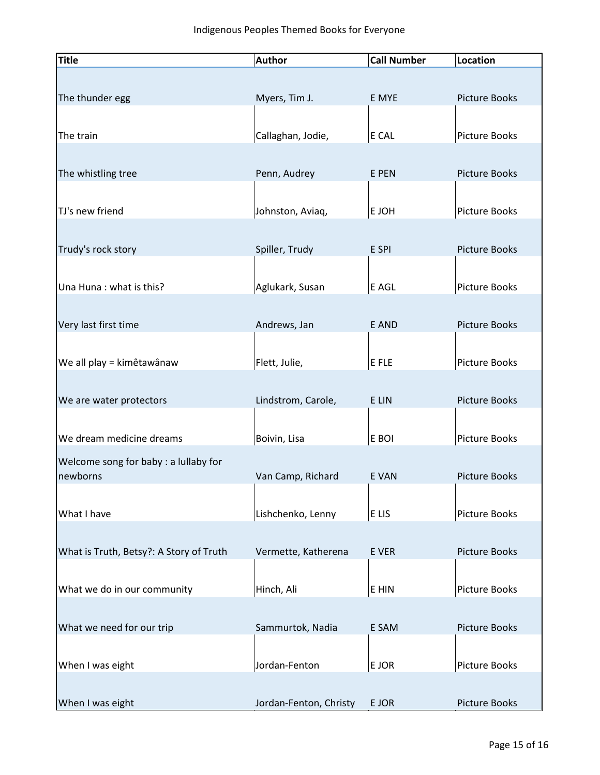| Title                                   | <b>Author</b>          | <b>Call Number</b> | Location             |
|-----------------------------------------|------------------------|--------------------|----------------------|
|                                         |                        |                    |                      |
| The thunder egg                         | Myers, Tim J.          | E MYE              | <b>Picture Books</b> |
|                                         |                        |                    |                      |
| The train                               | Callaghan, Jodie,      | $E$ CAL            | Picture Books        |
|                                         |                        |                    |                      |
| The whistling tree                      | Penn, Audrey           | E PEN              | <b>Picture Books</b> |
|                                         |                        |                    |                      |
| TJ's new friend                         | Johnston, Aviaq,       | E JOH              | Picture Books        |
|                                         |                        |                    |                      |
| Trudy's rock story                      | Spiller, Trudy         | E SPI              | <b>Picture Books</b> |
|                                         |                        |                    |                      |
| Una Huna: what is this?                 | Aglukark, Susan        | E AGL              | Picture Books        |
|                                         |                        |                    |                      |
| Very last first time                    | Andrews, Jan           | E AND              | <b>Picture Books</b> |
|                                         |                        |                    |                      |
| We all play = kimêtawânaw               | Flett, Julie,          | $E$ FLE            | Picture Books        |
|                                         |                        |                    |                      |
| We are water protectors                 | Lindstrom, Carole,     | E LIN              | <b>Picture Books</b> |
|                                         |                        |                    |                      |
| We dream medicine dreams                | Boivin, Lisa           | E BOI              | Picture Books        |
| Welcome song for baby : a lullaby for   |                        |                    |                      |
| newborns                                | Van Camp, Richard      | E VAN              | <b>Picture Books</b> |
|                                         |                        |                    |                      |
| What I have                             | Lishchenko, Lenny      | E <sub>LIS</sub>   | Picture Books        |
|                                         |                        |                    |                      |
| What is Truth, Betsy?: A Story of Truth | Vermette, Katherena    | E VER              | <b>Picture Books</b> |
|                                         |                        |                    |                      |
| What we do in our community             | Hinch, Ali             | E HIN              | Picture Books        |
|                                         |                        |                    |                      |
| What we need for our trip               | Sammurtok, Nadia       | E SAM              | <b>Picture Books</b> |
|                                         |                        |                    |                      |
| When I was eight                        | Jordan-Fenton          | E JOR              | Picture Books        |
|                                         |                        |                    |                      |
| When I was eight                        | Jordan-Fenton, Christy | E JOR              | <b>Picture Books</b> |